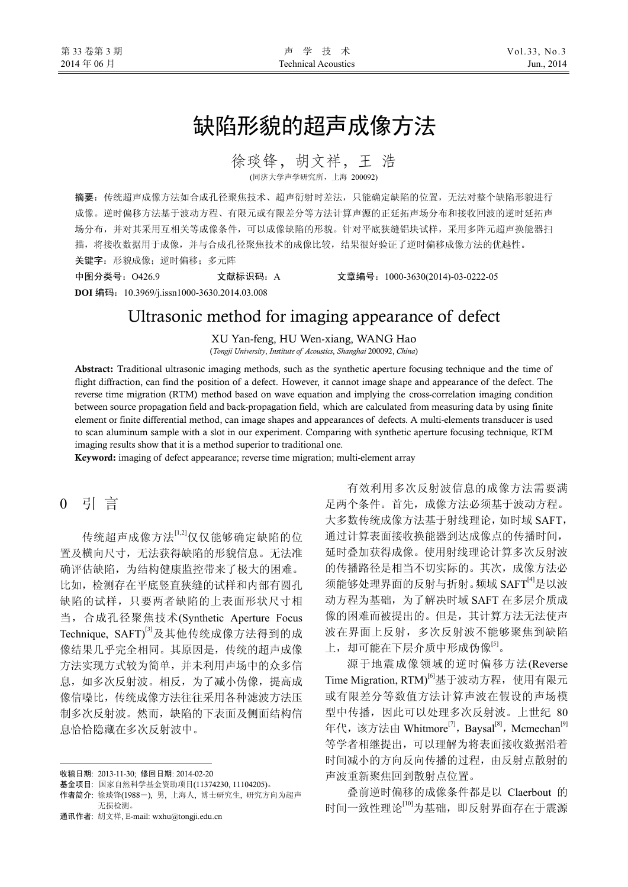# 缺陷形貌的超声成像方法

徐琰锋,胡文祥,王浩

(同济大学声学研究所,上海 200092)

摘要:传统超声成像方法如合成孔径聚焦技术、超声衍射时差法,只能确定缺陷的位置,无法对整个缺陷形貌进行 成像。逆时偏移方法基于波动方程、有限元或有限差分等方法计算声源的正延拓声场分布和接收回波的逆时延拓声 场分布,并对其采用互相关等成像条件,可以成像缺陷的形貌。针对平底狭缝铝块试样,采用多阵元超声换能器扫 描,将接收数据用于成像,并与合成孔径聚焦技术的成像比较,结果很好验证了逆时偏移成像方法的优越性。 关键字:形貌成像;逆时偏移;多元阵

中图分类号:O426.9 文献标识码:A 文章编号:1000-3630(2014)-03-0222-05

**DOI** 编码:10.3969/j.issn1000-3630.2014.03.008

## Ultrasonic method for imaging appearance of defect

XU Yan-feng, HU Wen-xiang, WANG Hao

(*Tongji University*, *Institute of Acoustics*, *Shanghai* 200092, *China*)

Abstract: Traditional ultrasonic imaging methods, such as the synthetic aperture focusing technique and the time of flight diffraction, can find the position of a defect. However, it cannot image shape and appearance of the defect. The reverse time migration (RTM) method based on wave equation and implying the cross-correlation imaging condition between source propagation field and back-propagation field, which are calculated from measuring data by using finite element or finite differential method, can image shapes and appearances of defects. A multi-elements transducer is used to scan aluminum sample with a slot in our experiment. Comparing with synthetic aperture focusing technique, RTM imaging results show that it is a method superior to traditional one.

Keyword: imaging of defect appearance; reverse time migration; multi-element array

## 0 引 言

 $\overline{a}$ 

传统超声成像方法[1,2]仅仅能够确定缺陷的位 置及横向尺寸,无法获得缺陷的形貌信息。无法准 确评估缺陷,为结构健康监控带来了极大的困难。 比如,检测存在平底竖直狭缝的试样和内部有圆孔 缺陷的试样,只要两者缺陷的上表面形状尺寸相 当,合成孔径聚焦技术(Synthetic Aperture Focus Technique, SAFT)<sup>[3]</sup>及其他传统成像方法得到的成 像结果几乎完全相同。其原因是,传统的超声成像 方法实现方式较为简单,并未利用声场中的众多信 息,如多次反射波。相反,为了减小伪像,提高成 像信噪比,传统成像方法往往采用各种滤波方法压 制多次反射波。然而,缺陷的下表面及侧面结构信 息恰恰隐藏在多次反射波中。

有效利用多次反射波信息的成像方法需要满 足两个条件。首先,成像方法必须基于波动方程。 大多数传统成像方法基于射线理论,如时域 SAFT, 通过计算表面接收换能器到达成像点的传播时间, 延时叠加获得成像。使用射线理论计算多次反射波 的传播路径是相当不切实际的。其次,成像方法必 须能够处理界面的反射与折射。频域 SAFT[4]是以波 动方程为基础,为了解决时域 SAFT 在多层介质成 像的困难而被提出的。但是,其计算方法无法使声 波在界面上反射,多次反射波不能够聚焦到缺陷 上,却可能在下层介质中形成伪像[5]。

源于地震成像领域的逆时偏移方法(Reverse Time Migration, RTM)<sup>[6]</sup>基于波动方程, 使用有限元 或有限差分等数值方法计算声波在假设的声场模 型中传播,因此可以处理多次反射波。上世纪 80 年代,该方法由 Whitmore<sup>[7]</sup>, Baysal<sup>[8]</sup>, Mcmechan<sup>[9]</sup> 等学者相继提出,可以理解为将表面接收数据沿着 时间减小的方向反向传播的过程,由反射点散射的 声波重新聚焦回到散射点位置。

叠前逆时偏移的成像条件都是以 Claerbout 的 时间一致性理论[10]为基础,即反射界面存在于震源

<span id="page-0-0"></span>收稿日期: 2013-11-30; 修回日期: 2014-02-20

基金项目: 国家自然科学基金资助项目(11374230, 11104205)。

作者简介: 徐琰锋(1988-), 男, 上海人, 博士研究生, 研究方向为超声 无损检测。

通讯作者: 胡文祥, E-mail: wxhu@tongji.edu.cn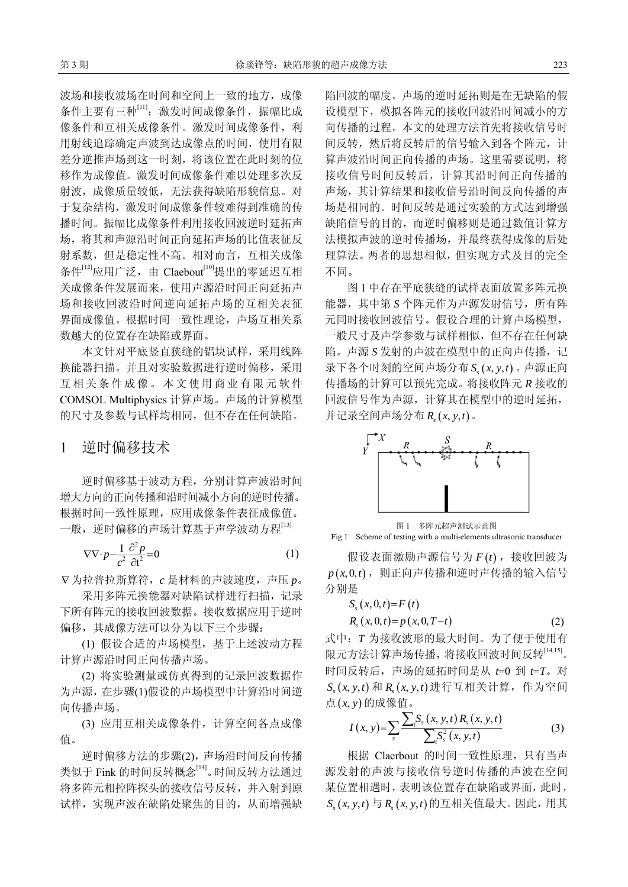波场和接收波场在时间和空间上一致的地方,成像 条件主要有三种<sup>[11]</sup>: 激发时间成像条件, 振幅比成 像条件和互相关成像条件。激发时间成像条件,利 用射线追踪确定声波到达成像点的时间,使用有限 差分逆推声场到这一时刻,将该位置在此时刻的位 移作为成像值。激发时间成像条件难以处理多次反 射波,成像质量较低,无法获得缺陷形貌信息。对 于复杂结构,激发时间成像条件较难得到准确的传 播时间。振幅比成像条件利用接收回波逆时延拓声 场,将其和声源沿时间正向延拓声场的比值表征反 射系数,但是稳定性不高。相对而言,互相关成像 条件[12]应用广泛, 由 Claebout<sup>[10]</sup>提出的零延迟互相 关成像条件发展而来,使用声源沿时间正向延拓声 场和接收回波沿时间逆向延拓声场的互相关表征 界面成像值。根据时间一致性理论,声场互相关系 数越大的位置存在缺陷或界面。

本文针对平底竖直狭缝的铝块试样,采用线阵 换能器扫描。并且对实验数据进行逆时偏移,采用 互相关条件成像。本文使用商业有限元软件 COMSOL Multiphysics 计算声场。声场的计算模型 的尺寸及参数与试样均相同,但不存在任何缺陷。

#### 1 逆时偏移技术

逆时偏移基于波动方程,分别计算声波沿时间 增大方向的正向传播和沿时间减小方向的逆时传播。 根据时间一致性原理,应用成像条件表征成像值。 一般, 逆时偏移的声场计算基于声学波动方程[13]

$$
\nabla \nabla \cdot p - \frac{1}{c^2} \frac{\partial^2 p}{\partial t^2} = 0 \tag{1}
$$

∇ 为拉普拉斯算符,*c* 是材料的声波速度,声压 *p*。

采用多阵元换能器对缺陷试样进行扫描,记录 下所有阵元的接收回波数据。接收数据应用于逆时 偏移,其成像方法可以分为以下三个步骤:

(1) 假设合适的声场模型,基于上述波动方程 计算声源沿时间正向传播声场。

(2) 将实验测量或仿真得到的记录回波数据作 为声源,在步骤(1)假设的声场模型中计算沿时间逆 向传播声场。

(3) 应用互相关成像条件,计算空间各点成像 值。

逆时偏移方法的步骤(2),声场沿时间反向传播 类似于 Fink 的时间反转概念<sup>[14]</sup>。时间反转方法通过 将多阵元相控阵探头的接收信号反转,并入射到原 试样,实现声波在缺陷处聚焦的目的,从而增强缺 陷回波的幅度。声场的逆时延拓则是在无缺陷的假 设模型下,模拟各阵元的接收回波沿时间减小的方 向传播的过程。本文的处理方法首先将接收信号时 间反转,然后将反转后的信号输入到各个阵元,计 算声波沿时间正向传播的声场。这里需要说明,将 接收信号时间反转后,计算其沿时间正向传播的 声场,其计算结果和接收信号沿时间反向传播的声 场是相同的。时间反转是通过实验的方式达到增强 缺陷信号的目的,而逆时偏移则是通过数值计算方 法模拟声波的逆时传播场,并最终获得成像的后处 理算法。两者的思想相似,但实现方式及目的完全 不同。

图 1 中存在平底狭缝的试样表面放置多阵元换 能器, 其中第 *S* 个阵元作为声源发射信号, 所有阵 元同时接收回波信号。假设合理的计算声场模型, 一般尺寸及声学参数与试样相似,但不存在任何缺 陷。声源 *S* 发射的声波在模型中的正向声传播, 记 录下各个时刻的空间声场分布 S<sub>α</sub>(x, y, t) 。声源正向 传播场的计算可以预先完成。将接收阵元 *R* 接收的 回波信号作为声源,计算其在模型中的逆时延拓, 并记录空间声场分布  $R_x(x, y, t)$ 。



图 1 多阵元超声测试示意图 Fig.1 Scheme of testing with a multi-elements ultrasonic transducer

假设表面激励声源信号为  $F(t)$ , 接收回波为  $p(x, 0, t)$ , 则正向声传播和逆时声传播的输入信号 分别是

$$
S_{s}(x, 0, t) = F(t)
$$
  
\n
$$
R_{s}(x, 0, t) = p(x, 0, T - t)
$$
\n(2)

式中:*T* 为接收波形的最大时间。为了便于使用有 限元方法计算声场传播,将接收回波时间反转[14,15]。 时间反转后,声场的延拓时间是从 *t*=0 到 *t*=*T*。对 ( , , ) *<sup>s</sup> S xyt* 和 ( , , ) *R xyt <sup>s</sup>* 进行互相关计算,作为空间 点(*x*, *y*) 的成像值。

$$
I(x, y) = \sum_{s} \frac{\sum_{t} S_{s}(x, y, t) R_{s}(x, y, t)}{\sum_{t} S_{s}^{2}(x, y, t)}
$$
(3)

根据 Claerbout 的时间一致性原理,只有当声 源发射的声波与接收信号逆时传播的声波在空间 某位置相遇时,表明该位置存在缺陷或界面,此时, ( , , ) *<sup>s</sup> S xyt* 与 ( , , ) *R xyt <sup>s</sup>* 的互相关值最大。因此,用其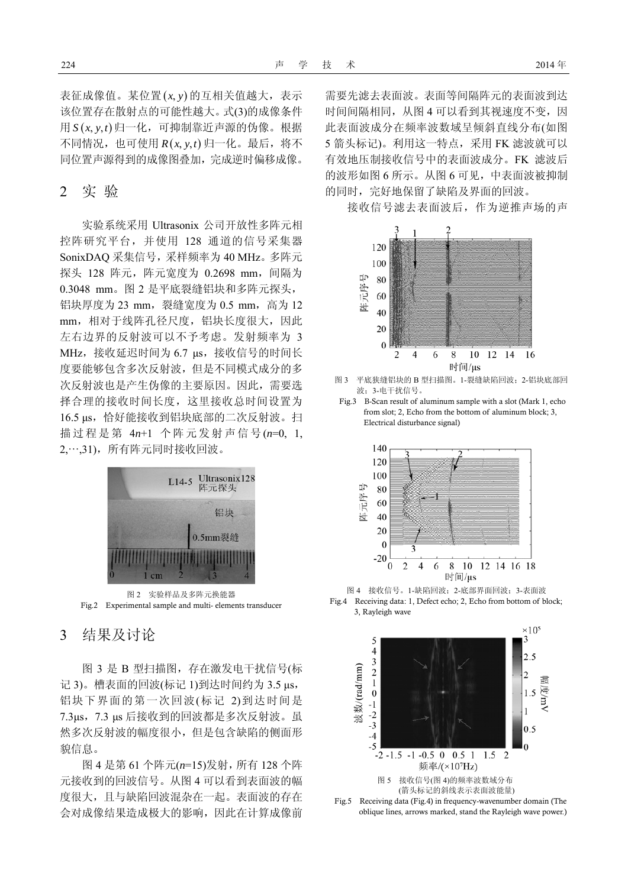表征成像值。某位置(x, y) 的互相关值越大,表示 该位置存在散射点的可能性越大。式(3)的成像条件 用  $S(x, y, t)$ 归一化, 可抑制靠近声源的伪像。根据  $\overline{A}$ 同情况,也可使用  $R(x, y, t)$  归一化。最后, 将不 同位置声源得到的成像图叠加,完成逆时偏移成像。

#### 2 实 验

实验系统采用 Ultrasonix 公司开放性多阵元相 控阵研究平台,并使用 128 通道的信号采集器 SonixDAQ 采集信号,采样频率为 40 MHz。多阵元 探头 128 阵元, 阵元宽度为 0.2698 mm, 间隔为 0.3048 mm。图 2 是平底裂缝铝块和多阵元探头, 铝块厚度为 23 mm, 裂缝宽度为 0.5 mm, 高为 12 mm,相对于线阵孔径尺度,铝块长度很大,因此 左右边界的反射波可以不予考虑。发射频率为 3 MHz, 接收延迟时间为 6.7 μs, 接收信号的时间长 度要能够包含多次反射波,但是不同模式成分的多 次反射波也是产生伪像的主要原因。因此,需要选 择合理的接收时间长度,这里接收总时间设置为 16.5 μs,恰好能接收到铝块底部的二次反射波。扫 描过程是第 4*n*+1 个阵元发射声信号(*n*=0, 1, 2,…,31),所有阵元同时接收回波。



图 2 实验样品及多阵元换能器 Fig.2 Experimental sample and multi- elements transducer

3 结果及讨论

图 3 是 B 型扫描图,存在激发电干扰信号(标 记 3)。槽表面的回波(标记 1)到达时间约为 3.5 μs, 铝块下界面的第一次回波(标记 2)到达时间是 7.3μs,7.3 μs 后接收到的回波都是多次反射波。虽 然多次反射波的幅度很小,但是包含缺陷的侧面形 貌信息。

图 4 是第 61 个阵元(*n*=15)发射,所有 128 个阵 元接收到的回波信号。从图 4 可以看到表面波的幅 度很大,且与缺陷回波混杂在一起。表面波的存在 会对成像结果造成极大的影响,因此在计算成像前

需要先滤去表面波。表面等间隔阵元的表面波到达 时间间隔相同, 从图 4 可以看到其视速度不变, 因 此表面波成分在频率波数域呈倾斜直线分布(如图 5 箭头标记)。利用这一特点,采用 FK 滤波就可以 有效地压制接收信号中的表面波成分。FK 滤波后 的波形如图 6 所示。从图 6 可见,中表面波被抑制 的同时, 完好地保留了缺陷及界面的回波。

接收信号滤去表面波后,作为逆推声场的声



图 3 平底狭缝铝块的 B 型扫描图。1-裂缝缺陷回波;2-铝块底部回 波;3-电干扰信号。

Fig.3 B-Scan result of aluminum sample with a slot (Mark 1, echo from slot; 2, Echo from the bottom of aluminum block; 3, Electrical disturbance signal)



图 4 接收信号。1-缺陷回波;2-底部界面回波;3-表面波 Fig.4 Receiving data: 1, Defect echo; 2, Echo from bottom of block; 3, Rayleigh wave

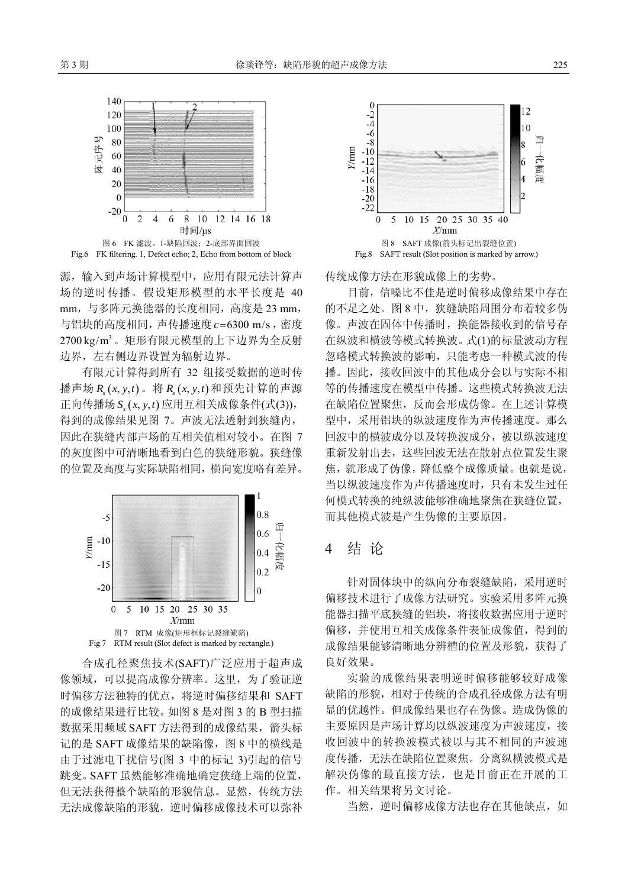

源,输入到声场计算模型中,应用有限元法计算声 场的逆时传播。假设矩形模型的水平长度是 40 mm,与多阵元换能器的长度相同,高度是 23 mm, 与铝块的高度相同, 声传播速度 c=6300 m/s, 密度 2700 kg/m3。矩形有限元模型的上下边界为全反射 边界,左右侧边界设置为辐射边界。

有限元计算得到所有 32 组接受数据的逆时传 播声场 ( , , ) *Rs xyt* 。将 ( , , ) *Rs xyt* 和预先计算的声源 正向传播场  $S_x(x, y, t)$  应用互相关成像条件(式(3)), 得到的成像结果见图 7。声波无法透射到狭缝内, 因此在狭缝内部声场的互相关值相对较小。在图 7 的灰度图中可清晰地看到白色的狭缝形貌。狭缝像 的位置及高度与实际缺陷相同,横向宽度略有差异。



合成孔径聚焦技术(SAFT)广泛应用于超声成 像领域,可以提高成像分辨率。这里,为了验证逆 时偏移方法独特的优点,将逆时偏移结果和 SAFT 的成像结果进行比较。如图 8 是对图 3 的 B 型扫描 数据采用频域 SAFT 方法得到的成像结果, 箭头标 记的是 SAFT 成像结果的缺陷像, 图 8 中的横线是 由于过滤电干扰信号(图 3 中的标记 3)引起的信号 跳变。SAFT 虽然能够准确地确定狭缝上端的位置, 但无法获得整个缺陷的形貌信息。显然,传统方法 无法成像缺陷的形貌,逆时偏移成像技术可以弥补



传统成像方法在形貌成像上的劣势。

目前,信噪比不佳是逆时偏移成像结果中存在 的不足之处。图 8 中,狭缝缺陷周围分布着较多伪 像。声波在固体中传播时,换能器接收到的信号存 在纵波和横波等模式转换波。式(1)的标量波动方程 忽略模式转换波的影响,只能考虑一种模式波的传 播。因此,接收回波中的其他成分会以与实际不相 等的传播速度在模型中传播。这些模式转换波无法 在缺陷位置聚焦,反而会形成伪像。在上述计算模 型中,采用铝块的纵波速度作为声传播速度。那么 回波中的横波成分以及转换波成分,被以纵波速度 重新发射出去,这些回波无法在散射点位置发生聚 焦,就形成了伪像,降低整个成像质量。也就是说, 当以纵波速度作为声传播速度时,只有未发生过任 何模式转换的纯纵波能够准确地聚焦在狭缝位置, 而其他模式波是产生伪像的主要原因。

### 4 结 论

针对固体块中的纵向分布裂缝缺陷,采用逆时 偏移技术进行了成像方法研究。实验采用多阵元换 能器扫描平底狭缝的铝块,将接收数据应用于逆时 偏移,并使用互相关成像条件表征成像值,得到的 成像结果能够清晰地分辨槽的位置及形貌,获得了 良好效果。

实验的成像结果表明逆时偏移能够较好成像 缺陷的形貌,相对于传统的合成孔径成像方法有明 显的优越性。但成像结果也存在伪像。造成伪像的 主要原因是声场计算均以纵波速度为声波速度,接 收回波中的转换波模式被以与其不相同的声波速 度传播,无法在缺陷位置聚焦。分离纵横波模式是 解决伪像的最直接方法,也是目前正在开展的工 作。相关结果将另文讨论。

当然,逆时偏移成像方法也存在其他缺点,如